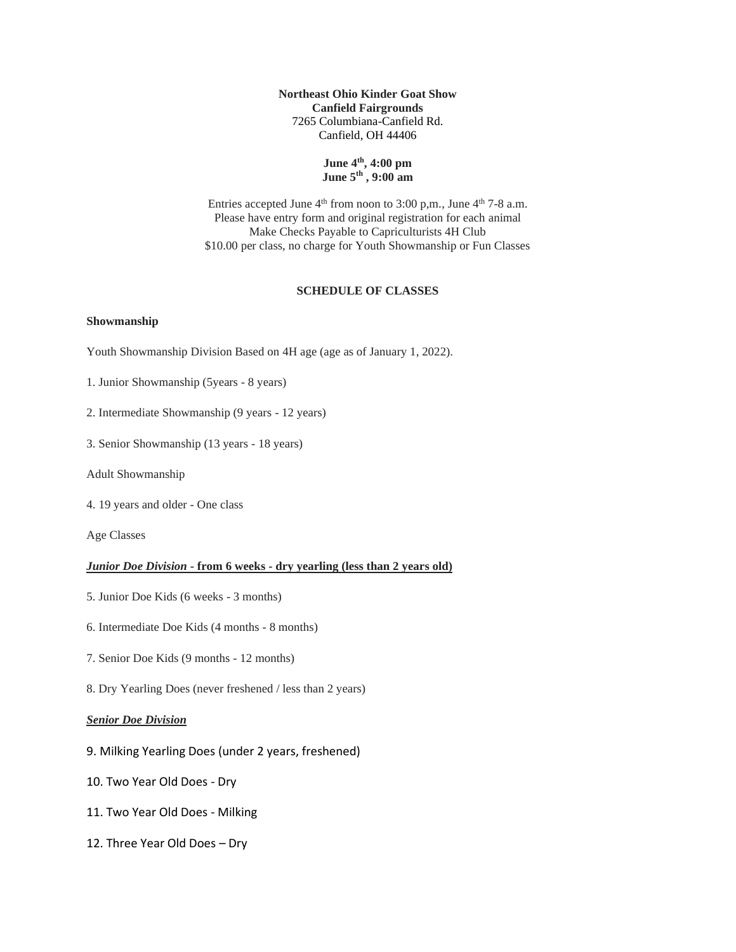**Northeast Ohio Kinder Goat Show Canfield Fairgrounds** 7265 Columbiana-Canfield Rd. Canfield, OH 44406

# **June 4 th , 4:00 pm June 5 th , 9:00 am**

Entries accepted June  $4<sup>th</sup>$  from noon to 3:00 p,m., June  $4<sup>th</sup>$  7-8 a.m. Please have entry form and original registration for each animal Make Checks Payable to Capriculturists 4H Club \$10.00 per class, no charge for Youth Showmanship or Fun Classes

# **SCHEDULE OF CLASSES**

#### **Showmanship**

- Youth Showmanship Division Based on 4H age (age as of January 1, 2022).
- 1. Junior Showmanship (5years 8 years)
- 2. Intermediate Showmanship (9 years 12 years)
- 3. Senior Showmanship (13 years 18 years)
- Adult Showmanship
- 4. 19 years and older One class

Age Classes

#### *Junior Doe Division* **- from 6 weeks - dry yearling (less than 2 years old)**

- 5. Junior Doe Kids (6 weeks 3 months)
- 6. Intermediate Doe Kids (4 months 8 months)
- 7. Senior Doe Kids (9 months 12 months)
- 8. Dry Yearling Does (never freshened / less than 2 years)

### *Senior Doe Division*

- 9. Milking Yearling Does (under 2 years, freshened)
- 10. Two Year Old Does Dry
- 11. Two Year Old Does Milking
- 12. Three Year Old Does Dry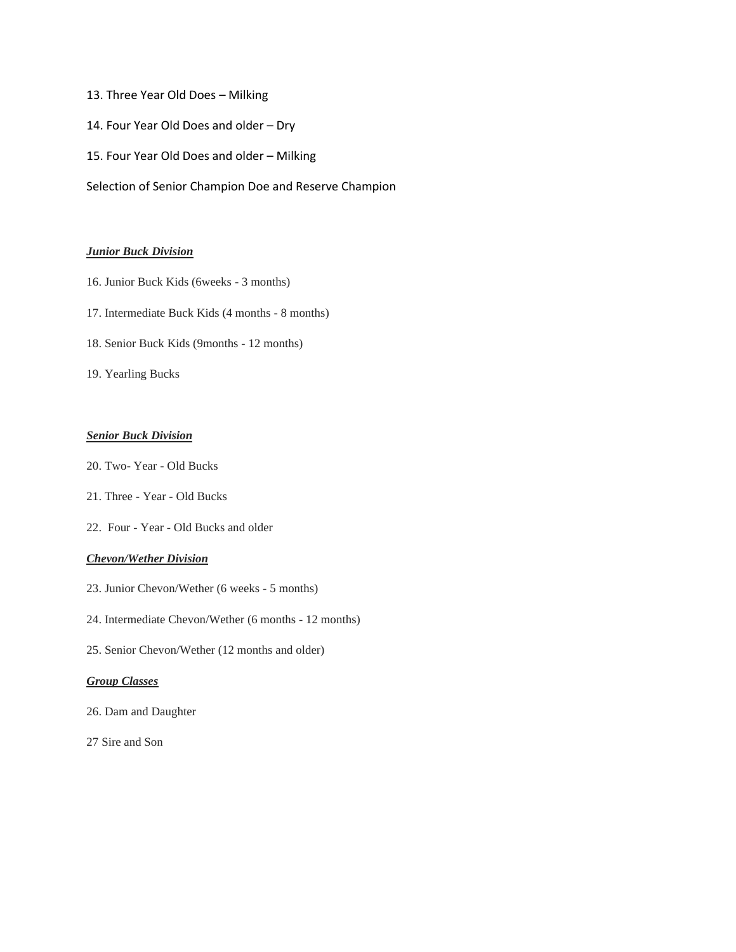# 13. Three Year Old Does – Milking

- 14. Four Year Old Does and older Dry
- 15. Four Year Old Does and older Milking
- Selection of Senior Champion Doe and Reserve Champion

# *Junior Buck Division*

- 16. Junior Buck Kids (6weeks 3 months)
- 17. Intermediate Buck Kids (4 months 8 months)
- 18. Senior Buck Kids (9months 12 months)
- 19. Yearling Bucks

# *Senior Buck Division*

- 20. Two- Year Old Bucks
- 21. Three Year Old Bucks
- 22. Four Year Old Bucks and older

# *Chevon/Wether Division*

- 23. Junior Chevon/Wether (6 weeks 5 months)
- 24. Intermediate Chevon/Wether (6 months 12 months)
- 25. Senior Chevon/Wether (12 months and older)

# *Group Classes*

- 26. Dam and Daughter
- 27 Sire and Son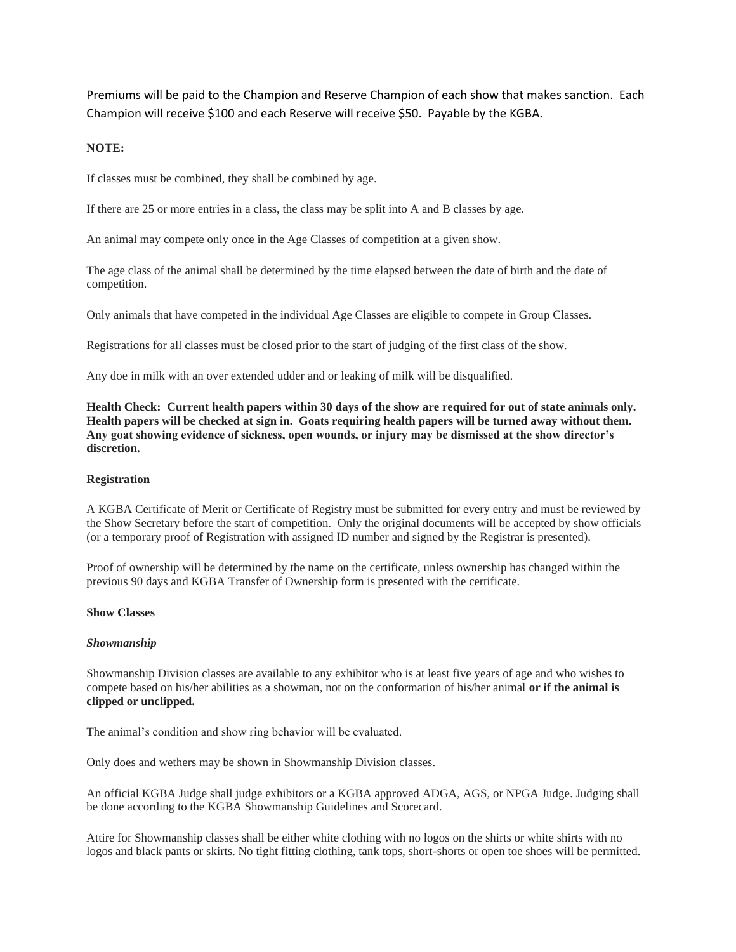Premiums will be paid to the Champion and Reserve Champion of each show that makes sanction. Each Champion will receive \$100 and each Reserve will receive \$50. Payable by the KGBA.

## **NOTE:**

If classes must be combined, they shall be combined by age.

If there are 25 or more entries in a class, the class may be split into A and B classes by age.

An animal may compete only once in the Age Classes of competition at a given show.

The age class of the animal shall be determined by the time elapsed between the date of birth and the date of competition.

Only animals that have competed in the individual Age Classes are eligible to compete in Group Classes.

Registrations for all classes must be closed prior to the start of judging of the first class of the show.

Any doe in milk with an over extended udder and or leaking of milk will be disqualified.

**Health Check: Current health papers within 30 days of the show are required for out of state animals only. Health papers will be checked at sign in. Goats requiring health papers will be turned away without them. Any goat showing evidence of sickness, open wounds, or injury may be dismissed at the show director's discretion.**

## **Registration**

A KGBA Certificate of Merit or Certificate of Registry must be submitted for every entry and must be reviewed by the Show Secretary before the start of competition. Only the original documents will be accepted by show officials (or a temporary proof of Registration with assigned ID number and signed by the Registrar is presented).

Proof of ownership will be determined by the name on the certificate, unless ownership has changed within the previous 90 days and KGBA Transfer of Ownership form is presented with the certificate.

## **Show Classes**

## *Showmanship*

Showmanship Division classes are available to any exhibitor who is at least five years of age and who wishes to compete based on his/her abilities as a showman, not on the conformation of his/her animal **or if the animal is clipped or unclipped.**

The animal's condition and show ring behavior will be evaluated.

Only does and wethers may be shown in Showmanship Division classes.

An official KGBA Judge shall judge exhibitors or a KGBA approved ADGA, AGS, or NPGA Judge. Judging shall be done according to the KGBA Showmanship Guidelines and Scorecard.

Attire for Showmanship classes shall be either white clothing with no logos on the shirts or white shirts with no logos and black pants or skirts. No tight fitting clothing, tank tops, short-shorts or open toe shoes will be permitted.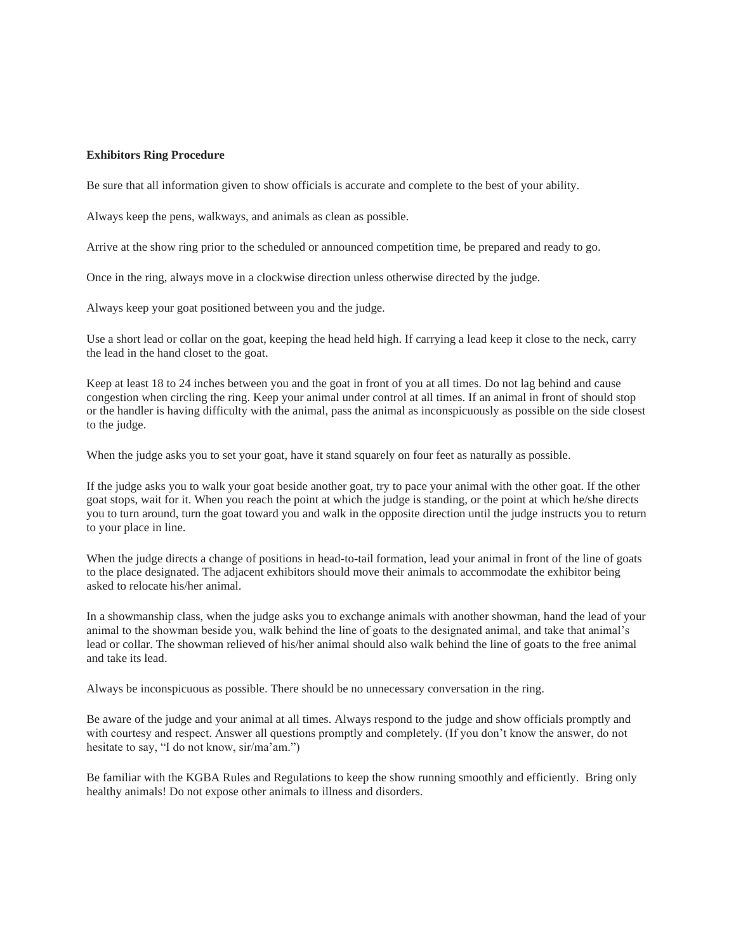## **Exhibitors Ring Procedure**

Be sure that all information given to show officials is accurate and complete to the best of your ability.

Always keep the pens, walkways, and animals as clean as possible.

Arrive at the show ring prior to the scheduled or announced competition time, be prepared and ready to go.

Once in the ring, always move in a clockwise direction unless otherwise directed by the judge.

Always keep your goat positioned between you and the judge.

Use a short lead or collar on the goat, keeping the head held high. If carrying a lead keep it close to the neck, carry the lead in the hand closet to the goat.

Keep at least 18 to 24 inches between you and the goat in front of you at all times. Do not lag behind and cause congestion when circling the ring. Keep your animal under control at all times. If an animal in front of should stop or the handler is having difficulty with the animal, pass the animal as inconspicuously as possible on the side closest to the judge.

When the judge asks you to set your goat, have it stand squarely on four feet as naturally as possible.

If the judge asks you to walk your goat beside another goat, try to pace your animal with the other goat. If the other goat stops, wait for it. When you reach the point at which the judge is standing, or the point at which he/she directs you to turn around, turn the goat toward you and walk in the opposite direction until the judge instructs you to return to your place in line.

When the judge directs a change of positions in head-to-tail formation, lead your animal in front of the line of goats to the place designated. The adjacent exhibitors should move their animals to accommodate the exhibitor being asked to relocate his/her animal.

In a showmanship class, when the judge asks you to exchange animals with another showman, hand the lead of your animal to the showman beside you, walk behind the line of goats to the designated animal, and take that animal's lead or collar. The showman relieved of his/her animal should also walk behind the line of goats to the free animal and take its lead.

Always be inconspicuous as possible. There should be no unnecessary conversation in the ring.

Be aware of the judge and your animal at all times. Always respond to the judge and show officials promptly and with courtesy and respect. Answer all questions promptly and completely. (If you don't know the answer, do not hesitate to say, "I do not know, sir/ma'am.")

Be familiar with the KGBA Rules and Regulations to keep the show running smoothly and efficiently. Bring only healthy animals! Do not expose other animals to illness and disorders.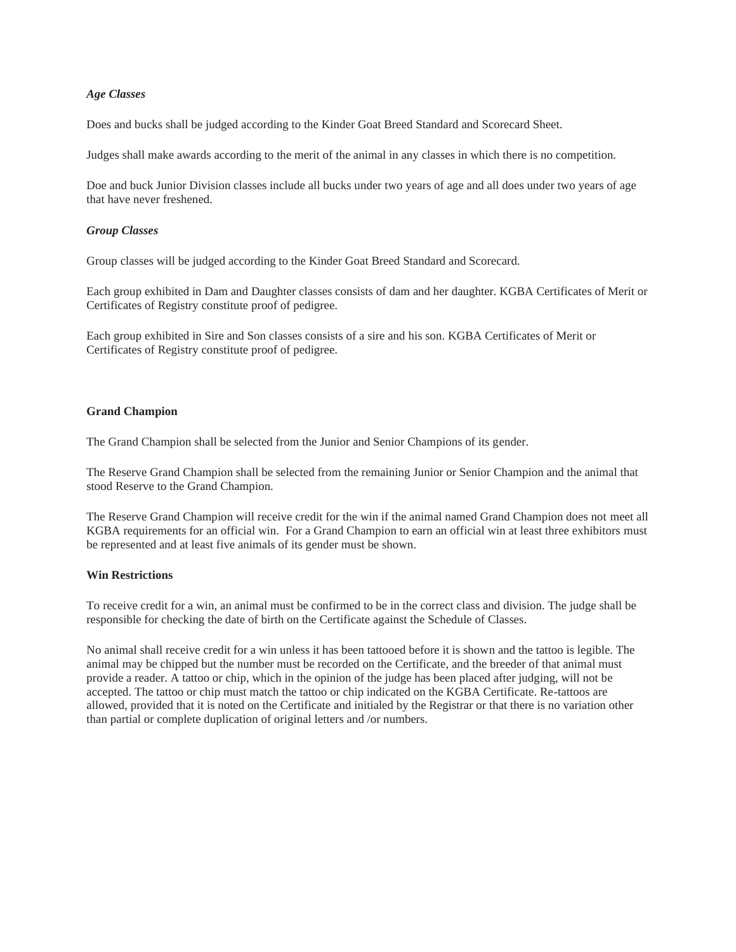## *Age Classes*

Does and bucks shall be judged according to the Kinder Goat Breed Standard and Scorecard Sheet.

Judges shall make awards according to the merit of the animal in any classes in which there is no competition.

Doe and buck Junior Division classes include all bucks under two years of age and all does under two years of age that have never freshened.

#### *Group Classes*

Group classes will be judged according to the Kinder Goat Breed Standard and Scorecard.

Each group exhibited in Dam and Daughter classes consists of dam and her daughter. KGBA Certificates of Merit or Certificates of Registry constitute proof of pedigree.

Each group exhibited in Sire and Son classes consists of a sire and his son. KGBA Certificates of Merit or Certificates of Registry constitute proof of pedigree.

#### **Grand Champion**

The Grand Champion shall be selected from the Junior and Senior Champions of its gender.

The Reserve Grand Champion shall be selected from the remaining Junior or Senior Champion and the animal that stood Reserve to the Grand Champion.

The Reserve Grand Champion will receive credit for the win if the animal named Grand Champion does not meet all KGBA requirements for an official win. For a Grand Champion to earn an official win at least three exhibitors must be represented and at least five animals of its gender must be shown.

## **Win Restrictions**

To receive credit for a win, an animal must be confirmed to be in the correct class and division. The judge shall be responsible for checking the date of birth on the Certificate against the Schedule of Classes.

No animal shall receive credit for a win unless it has been tattooed before it is shown and the tattoo is legible. The animal may be chipped but the number must be recorded on the Certificate, and the breeder of that animal must provide a reader. A tattoo or chip, which in the opinion of the judge has been placed after judging, will not be accepted. The tattoo or chip must match the tattoo or chip indicated on the KGBA Certificate. Re-tattoos are allowed, provided that it is noted on the Certificate and initialed by the Registrar or that there is no variation other than partial or complete duplication of original letters and /or numbers.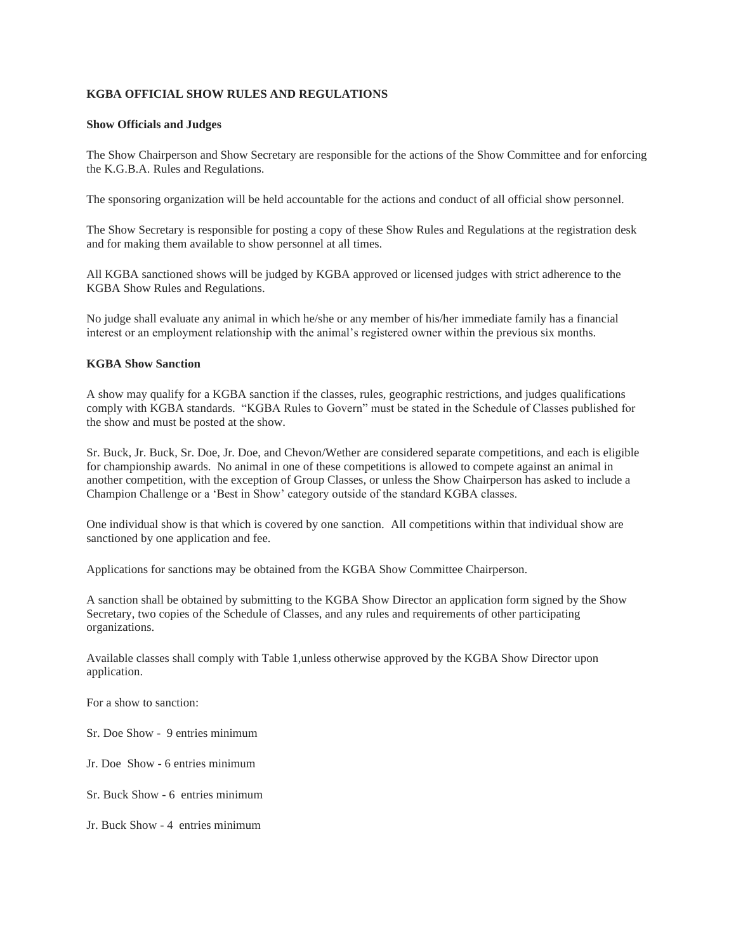# **KGBA OFFICIAL SHOW RULES AND REGULATIONS**

## **Show Officials and Judges**

The Show Chairperson and Show Secretary are responsible for the actions of the Show Committee and for enforcing the K.G.B.A. Rules and Regulations.

The sponsoring organization will be held accountable for the actions and conduct of all official show personnel.

The Show Secretary is responsible for posting a copy of these Show Rules and Regulations at the registration desk and for making them available to show personnel at all times.

All KGBA sanctioned shows will be judged by KGBA approved or licensed judges with strict adherence to the KGBA Show Rules and Regulations.

No judge shall evaluate any animal in which he/she or any member of his/her immediate family has a financial interest or an employment relationship with the animal's registered owner within the previous six months.

# **KGBA Show Sanction**

A show may qualify for a KGBA sanction if the classes, rules, geographic restrictions, and judges qualifications comply with KGBA standards. "KGBA Rules to Govern" must be stated in the Schedule of Classes published for the show and must be posted at the show.

Sr. Buck, Jr. Buck, Sr. Doe, Jr. Doe, and Chevon/Wether are considered separate competitions, and each is eligible for championship awards. No animal in one of these competitions is allowed to compete against an animal in another competition, with the exception of Group Classes, or unless the Show Chairperson has asked to include a Champion Challenge or a 'Best in Show' category outside of the standard KGBA classes.

One individual show is that which is covered by one sanction. All competitions within that individual show are sanctioned by one application and fee.

Applications for sanctions may be obtained from the KGBA Show Committee Chairperson.

A sanction shall be obtained by submitting to the KGBA Show Director an application form signed by the Show Secretary, two copies of the Schedule of Classes, and any rules and requirements of other participating organizations.

Available classes shall comply with Table 1,unless otherwise approved by the KGBA Show Director upon application.

For a show to sanction:

Sr. Doe Show - 9 entries minimum

Jr. Doe Show - 6 entries minimum

Sr. Buck Show - 6 entries minimum

Jr. Buck Show - 4 entries minimum